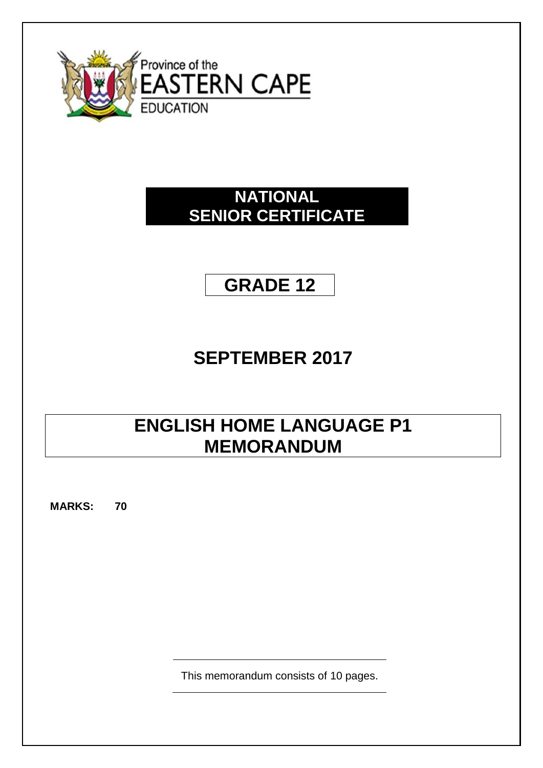

# **NATIONAL SENIOR CERTIFICATE**

# **GRADE 12**

# **SEPTEMBER 2017**

# **ENGLISH HOME LANGUAGE P1 MEMORANDUM**

**MARKS: 70**

This memorandum consists of 10 pages.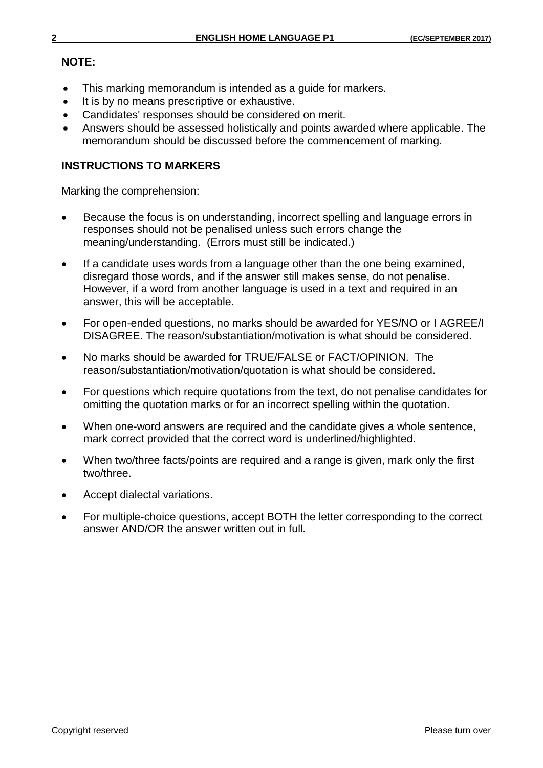# **NOTE:**

- This marking memorandum is intended as a guide for markers.
- It is by no means prescriptive or exhaustive.
- Candidates' responses should be considered on merit.
- Answers should be assessed holistically and points awarded where applicable. The memorandum should be discussed before the commencement of marking.

# **INSTRUCTIONS TO MARKERS**

Marking the comprehension:

- Because the focus is on understanding, incorrect spelling and language errors in responses should not be penalised unless such errors change the meaning/understanding. (Errors must still be indicated.)
- If a candidate uses words from a language other than the one being examined, disregard those words, and if the answer still makes sense, do not penalise. However, if a word from another language is used in a text and required in an answer, this will be acceptable.
- For open-ended questions, no marks should be awarded for YES/NO or I AGREE/I DISAGREE. The reason/substantiation/motivation is what should be considered.
- No marks should be awarded for TRUE/FALSE or FACT/OPINION. The reason/substantiation/motivation/quotation is what should be considered.
- For questions which require quotations from the text, do not penalise candidates for omitting the quotation marks or for an incorrect spelling within the quotation.
- When one-word answers are required and the candidate gives a whole sentence, mark correct provided that the correct word is underlined/highlighted.
- When two/three facts/points are required and a range is given, mark only the first two/three.
- Accept dialectal variations.
- For multiple-choice questions, accept BOTH the letter corresponding to the correct answer AND/OR the answer written out in full.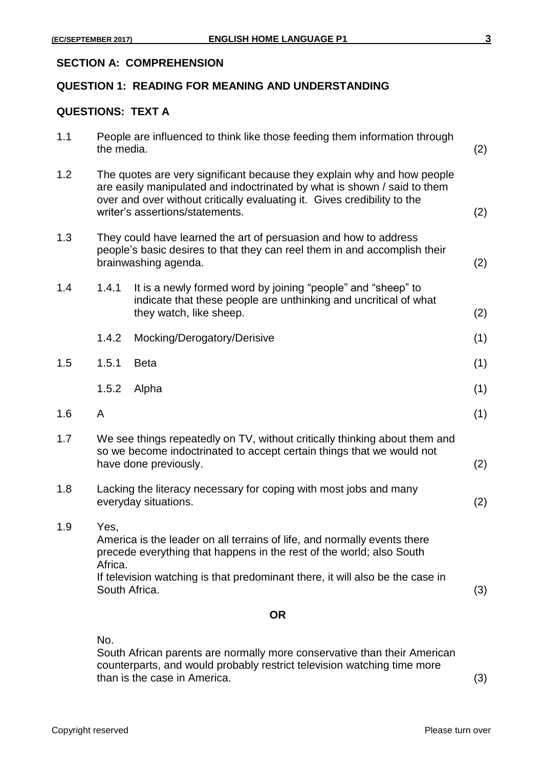#### **SECTION A: COMPREHENSION**

# **QUESTION 1: READING FOR MEANING AND UNDERSTANDING**

#### **QUESTIONS: TEXT A**

|     |                                                                                                                                                                                                                                                                    | <b>OR</b>                                                                                                                                                   |     |
|-----|--------------------------------------------------------------------------------------------------------------------------------------------------------------------------------------------------------------------------------------------------------------------|-------------------------------------------------------------------------------------------------------------------------------------------------------------|-----|
|     |                                                                                                                                                                                                                                                                    | If television watching is that predominant there, it will also be the case in<br>South Africa.                                                              | (3) |
| 1.9 | Yes.<br>America is the leader on all terrains of life, and normally events there<br>precede everything that happens in the rest of the world; also South<br>Africa.                                                                                                |                                                                                                                                                             |     |
| 1.8 | Lacking the literacy necessary for coping with most jobs and many<br>everyday situations.                                                                                                                                                                          |                                                                                                                                                             | (2) |
| 1.7 | We see things repeatedly on TV, without critically thinking about them and<br>so we become indoctrinated to accept certain things that we would not<br>have done previously.                                                                                       |                                                                                                                                                             |     |
| 1.6 | A                                                                                                                                                                                                                                                                  |                                                                                                                                                             | (1) |
|     | 1.5.2                                                                                                                                                                                                                                                              | Alpha                                                                                                                                                       | (1) |
| 1.5 | 1.5.1                                                                                                                                                                                                                                                              | <b>Beta</b>                                                                                                                                                 | (1) |
|     | 1.4.2                                                                                                                                                                                                                                                              | Mocking/Derogatory/Derisive                                                                                                                                 | (1) |
| 1.4 | 1.4.1                                                                                                                                                                                                                                                              | It is a newly formed word by joining "people" and "sheep" to<br>indicate that these people are unthinking and uncritical of what<br>they watch, like sheep. | (2) |
| 1.3 | They could have learned the art of persuasion and how to address<br>people's basic desires to that they can reel them in and accomplish their<br>brainwashing agenda.                                                                                              |                                                                                                                                                             |     |
| 1.2 | The quotes are very significant because they explain why and how people<br>are easily manipulated and indoctrinated by what is shown / said to them<br>over and over without critically evaluating it. Gives credibility to the<br>writer's assertions/statements. |                                                                                                                                                             |     |
| 1.1 | People are influenced to think like those feeding them information through<br>the media.                                                                                                                                                                           |                                                                                                                                                             |     |

No.

South African parents are normally more conservative than their American counterparts, and would probably restrict television watching time more than is the case in America. (3)

Copyright reserved **Please turn over Please turn over**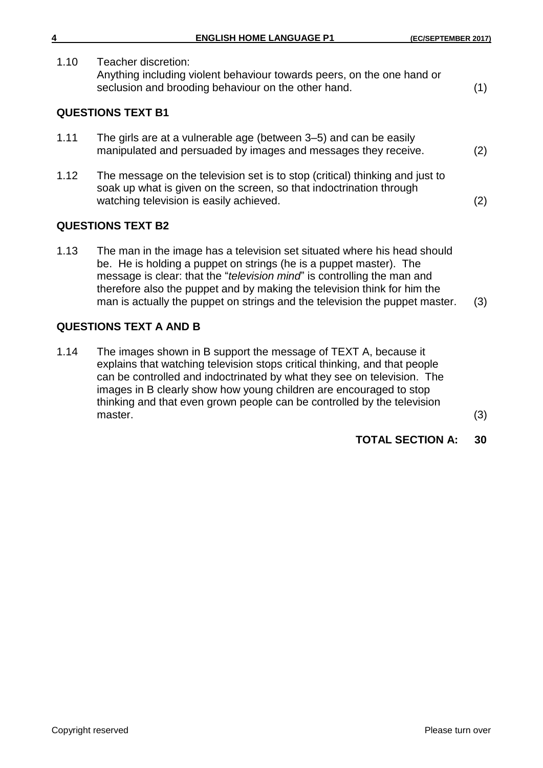| 4                        | <b>ENGLISH HOME LANGUAGE P1</b>                                                                                                                      | (EC/SEPTEMBER 2017) |  |  |
|--------------------------|------------------------------------------------------------------------------------------------------------------------------------------------------|---------------------|--|--|
| 1.10                     | Teacher discretion:<br>Anything including violent behaviour towards peers, on the one hand or<br>seclusion and brooding behaviour on the other hand. | (1)                 |  |  |
| <b>QUESTIONS TEXT B1</b> |                                                                                                                                                      |                     |  |  |
| 1.11                     | The girls are at a vulnerable age (between 3-5) and can be easily<br>manipulated and persuaded by images and messages they receive.                  | (2)                 |  |  |

1.12 The message on the television set is to stop (critical) thinking and just to soak up what is given on the screen, so that indoctrination through watching television is easily achieved. (2)  $(2)$ 

# **QUESTIONS TEXT B2**

1.13 The man in the image has a television set situated where his head should be. He is holding a puppet on strings (he is a puppet master). The message is clear: that the "*television mind*" is controlling the man and therefore also the puppet and by making the television think for him the man is actually the puppet on strings and the television the puppet master. (3)

# **QUESTIONS TEXT A AND B**

1.14 The images shown in B support the message of TEXT A, because it explains that watching television stops critical thinking, and that people can be controlled and indoctrinated by what they see on television. The images in B clearly show how young children are encouraged to stop thinking and that even grown people can be controlled by the television  $\blacksquare$ master.  $\tag{3}$ 

**TOTAL SECTION A: 30**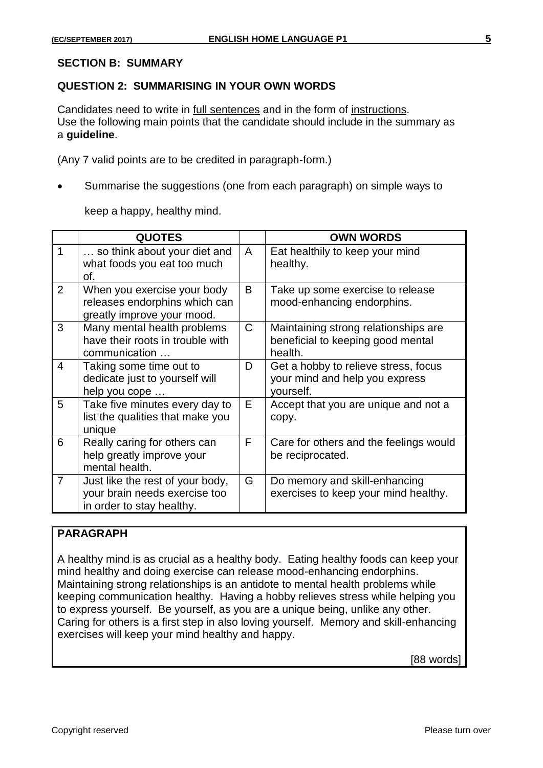#### **SECTION B: SUMMARY**

#### **QUESTION 2: SUMMARISING IN YOUR OWN WORDS**

Candidates need to write in full sentences and in the form of instructions. Use the following main points that the candidate should include in the summary as a **guideline**.

(Any 7 valid points are to be credited in paragraph-form.)

Summarise the suggestions (one from each paragraph) on simple ways to

keep a happy, healthy mind.

|                | <b>QUOTES</b>                                                                                  |              | <b>OWN WORDS</b>                                                                     |
|----------------|------------------------------------------------------------------------------------------------|--------------|--------------------------------------------------------------------------------------|
| 1              | so think about your diet and<br>what foods you eat too much<br>of.                             | A            | Eat healthily to keep your mind<br>healthy.                                          |
| $\overline{2}$ | When you exercise your body<br>releases endorphins which can<br>greatly improve your mood.     | B            | Take up some exercise to release<br>mood-enhancing endorphins.                       |
| 3              | Many mental health problems<br>have their roots in trouble with<br>communication               | $\mathsf{C}$ | Maintaining strong relationships are<br>beneficial to keeping good mental<br>health. |
| 4              | Taking some time out to<br>dedicate just to yourself will<br>help you cope                     | D            | Get a hobby to relieve stress, focus<br>your mind and help you express<br>vourself.  |
| 5              | Take five minutes every day to<br>list the qualities that make you<br>unique                   | E.           | Accept that you are unique and not a<br>copy.                                        |
| 6              | Really caring for others can<br>help greatly improve your<br>mental health.                    | F            | Care for others and the feelings would<br>be reciprocated.                           |
| $\overline{7}$ | Just like the rest of your body,<br>your brain needs exercise too<br>in order to stay healthy. | G            | Do memory and skill-enhancing<br>exercises to keep your mind healthy.                |

# **PARAGRAPH**

A healthy mind is as crucial as a healthy body. Eating healthy foods can keep your mind healthy and doing exercise can release mood-enhancing endorphins. Maintaining strong relationships is an antidote to mental health problems while keeping communication healthy. Having a hobby relieves stress while helping you to express yourself. Be yourself, as you are a unique being, unlike any other. Caring for others is a first step in also loving yourself. Memory and skill-enhancing exercises will keep your mind healthy and happy.

[88 words]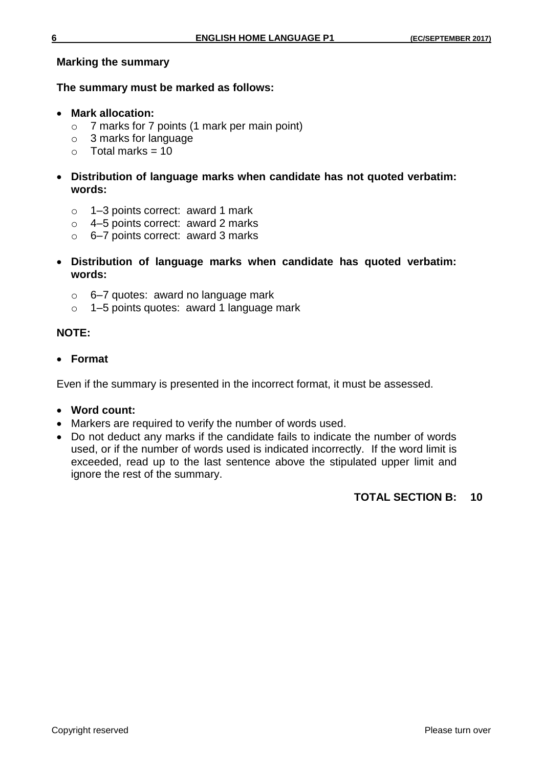#### **Marking the summary**

#### **The summary must be marked as follows:**

- **Mark allocation:**
	- o 7 marks for 7 points (1 mark per main point)
	- o 3 marks for language
	- $\circ$  Total marks = 10
- **Distribution of language marks when candidate has not quoted verbatim: words:**
	- o 1–3 points correct: award 1 mark
	- o 4–5 points correct: award 2 marks
	- o 6–7 points correct: award 3 marks
- **Distribution of language marks when candidate has quoted verbatim: words:**
	- o 6–7 quotes: award no language mark
	- o 1–5 points quotes: award 1 language mark

#### **NOTE:**

**Format**

Even if the summary is presented in the incorrect format, it must be assessed.

- **Word count:**
- Markers are required to verify the number of words used.
- Do not deduct any marks if the candidate fails to indicate the number of words used, or if the number of words used is indicated incorrectly. If the word limit is exceeded, read up to the last sentence above the stipulated upper limit and ignore the rest of the summary.

#### **TOTAL SECTION B: 10**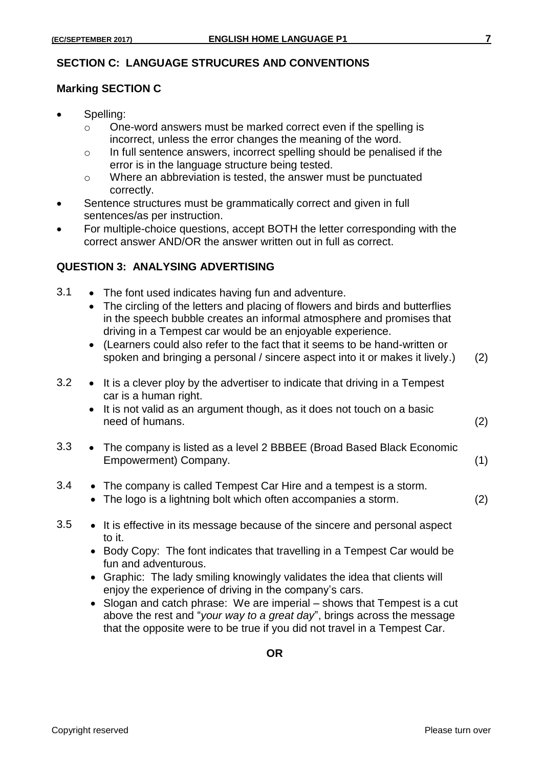#### **SECTION C: LANGUAGE STRUCURES AND CONVENTIONS**

#### **Marking SECTION C**

- Spelling:
	- o One-word answers must be marked correct even if the spelling is incorrect, unless the error changes the meaning of the word.
	- o In full sentence answers, incorrect spelling should be penalised if the error is in the language structure being tested.
	- o Where an abbreviation is tested, the answer must be punctuated correctly.
- Sentence structures must be grammatically correct and given in full sentences/as per instruction.
- For multiple-choice questions, accept BOTH the letter corresponding with the correct answer AND/OR the answer written out in full as correct.

#### **QUESTION 3: ANALYSING ADVERTISING**

- 3.1 The font used indicates having fun and adventure.
	- The circling of the letters and placing of flowers and birds and butterflies in the speech bubble creates an informal atmosphere and promises that driving in a Tempest car would be an enjoyable experience.
	- (Learners could also refer to the fact that it seems to be hand-written or spoken and bringing a personal / sincere aspect into it or makes it lively.) (2)
- $3.2 \rightarrow$  It is a clever ploy by the advertiser to indicate that driving in a Tempest car is a human right.
	- It is not valid as an argument though, as it does not touch on a basic need of humans. (2)
- 3.3 The company is listed as a level 2 BBBEE (Broad Based Black Economic Empowerment) Company. (1)
- 3.4 The company is called Tempest Car Hire and a tempest is a storm.
	- The logo is a lightning bolt which often accompanies a storm. (2)
- 3.5 It is effective in its message because of the sincere and personal aspect to it.
	- Body Copy: The font indicates that travelling in a Tempest Car would be fun and adventurous.
	- Graphic: The lady smiling knowingly validates the idea that clients will enjoy the experience of driving in the company's cars.
	- Slogan and catch phrase: We are imperial shows that Tempest is a cut above the rest and "*your way to a great day*", brings across the message that the opposite were to be true if you did not travel in a Tempest Car.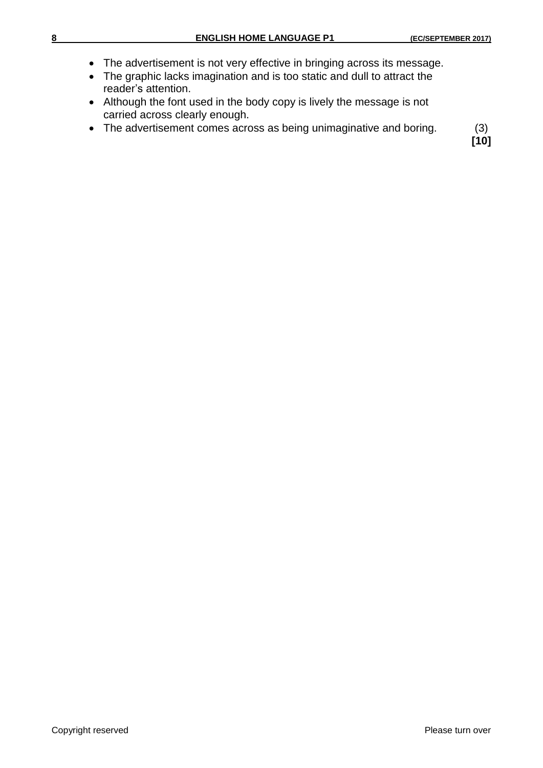- The advertisement is not very effective in bringing across its message.
- The graphic lacks imagination and is too static and dull to attract the reader's attention.
- Although the font used in the body copy is lively the message is not carried across clearly enough.
- The advertisement comes across as being unimaginative and boring. (3)

**[10]**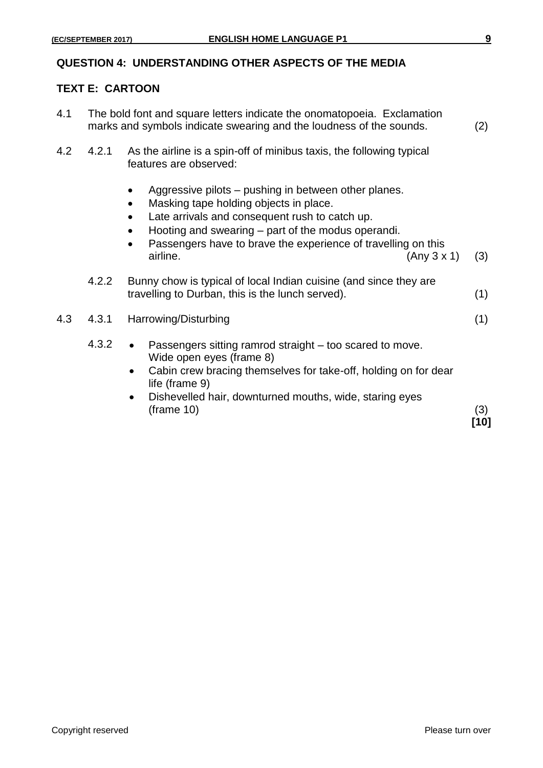#### **QUESTION 4: UNDERSTANDING OTHER ASPECTS OF THE MEDIA**

# **TEXT E: CARTOON**

| 4.1 |       | The bold font and square letters indicate the onomatopoeia. Exclamation<br>marks and symbols indicate swearing and the loudness of the sounds.<br>(2)                                                                                                                                                                                                               |             |  |
|-----|-------|---------------------------------------------------------------------------------------------------------------------------------------------------------------------------------------------------------------------------------------------------------------------------------------------------------------------------------------------------------------------|-------------|--|
| 4.2 | 4.2.1 | As the airline is a spin-off of minibus taxis, the following typical<br>features are observed:                                                                                                                                                                                                                                                                      |             |  |
|     |       | Aggressive pilots – pushing in between other planes.<br>$\bullet$<br>Masking tape holding objects in place.<br>$\bullet$<br>Late arrivals and consequent rush to catch up.<br>$\bullet$<br>Hooting and swearing – part of the modus operandi.<br>$\bullet$<br>Passengers have to brave the experience of travelling on this<br>$\bullet$<br>airline.<br>(Any 3 x 1) | (3)         |  |
|     | 4.2.2 | Bunny chow is typical of local Indian cuisine (and since they are<br>travelling to Durban, this is the lunch served).                                                                                                                                                                                                                                               | (1)         |  |
| 4.3 | 4.3.1 | Harrowing/Disturbing                                                                                                                                                                                                                                                                                                                                                | (1)         |  |
|     | 4.3.2 | Passengers sitting ramrod straight – too scared to move.<br>Wide open eyes (frame 8)<br>Cabin crew bracing themselves for take-off, holding on for dear<br>life (frame 9)<br>Dishevelled hair, downturned mouths, wide, staring eyes<br>$\bullet$<br>$(\text{frame } 10)$                                                                                           | (3)<br>[10] |  |